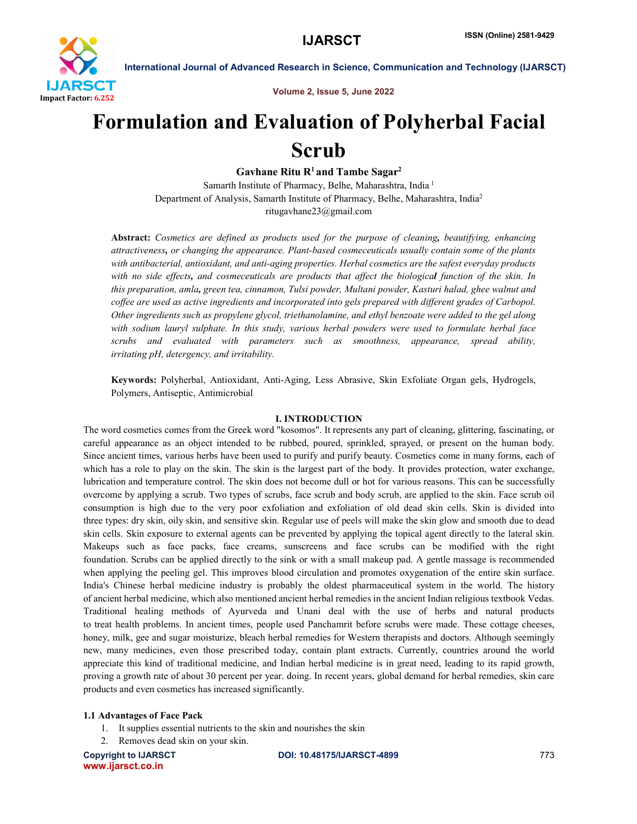

Volume 2, Issue 5, June 2022

# Formulation and Evaluation of Polyherbal Facial Scrub

Gavhane Ritu  $R<sup>1</sup>$  and Tambe Sagar<sup>2</sup>

Samarth Institute of Pharmacy, Belhe, Maharashtra, India <sup>1</sup> Department of Analysis, Samarth Institute of Pharmacy, Belhe, Maharashtra, India2 ritugavhane23@gmail.com

Abstract: *Cosmetics are defined as products used for the purpose of cleaning, beautifying, enhancing attractiveness, or changing the appearance. Plant-based cosmeceuticals usually contain some of the plants with antibacterial, antioxidant, and anti-aging properties. Herbal cosmetics are the safest everyday products with no side effects, and cosmeceuticals are products that affect the biological function of the skin. In this preparation, amla, green tea, cinnamon, Tulsi powder, Multani powder, Kasturi halad, ghee walnut and coffee are used as active ingredients and incorporated into gels prepared with different grades of Carbopol. Other ingredients such as propylene glycol, triethanolamine, and ethyl benzoate were added to the gel along with sodium lauryl sulphate. In this study, various herbal powders were used to formulate herbal face scrubs and evaluated with parameters such as smoothness, appearance, spread ability, irritating pH, detergency, and irritability.*

Keywords: Polyherbal, Antioxidant, Anti-Aging, Less Abrasive, Skin Exfoliate Organ gels, Hydrogels, Polymers, Antiseptic, Antimicrobial

# I. INTRODUCTION

The word cosmetics comes from the Greek word "kosomos". It represents any part of cleaning, glittering, fascinating, or careful appearance as an object intended to be rubbed, poured, sprinkled, sprayed, or present on the human body. Since ancient times, various herbs have been used to purify and purify beauty. Cosmetics come in many forms, each of which has a role to play on the skin. The skin is the largest part of the body. It provides protection, water exchange, lubrication and temperature control. The skin does not become dull or hot for various reasons. This can be successfully overcome by applying a scrub. Two types of scrubs, face scrub and body scrub, are applied to the skin. Face scrub oil consumption is high due to the very poor exfoliation and exfoliation of old dead skin cells. Skin is divided into three types: dry skin, oily skin, and sensitive skin. Regular use of peels will make the skin glow and smooth due to dead skin cells. Skin exposure to external agents can be prevented by applying the topical agent directly to the lateral skin. Makeups such as face packs, face creams, sunscreens and face scrubs can be modified with the right foundation. Scrubs can be applied directly to the sink or with a small makeup pad. A gentle massage is recommended when applying the peeling gel. This improves blood circulation and promotes oxygenation of the entire skin surface. India's Chinese herbal medicine industry is probably the oldest pharmaceutical system in the world. The history of ancient herbal medicine, which also mentioned ancient herbal remedies in the ancient Indian religious textbook Vedas. Traditional healing methods of Ayurveda and Unani deal with the use of herbs and natural products to treat health problems. In ancient times, people used Panchamrit before scrubs were made. These cottage cheeses, honey, milk, gee and sugar moisturize, bleach herbal remedies for Western therapists and doctors. Although seemingly new, many medicines, even those prescribed today, contain plant extracts. Currently, countries around the world appreciate this kind of traditional medicine, and Indian herbal medicine is in great need, leading to its rapid growth, proving a growth rate of about 30 percent per year. doing. In recent years, global demand for herbal remedies, skin care products and even cosmetics has increased significantly.

# 1.1 Advantages of Face Pack

- 1. It supplies essential nutrients to the skin and nourishes the skin
- 2. Removes dead skin on your skin.

www.ijarsct.co.in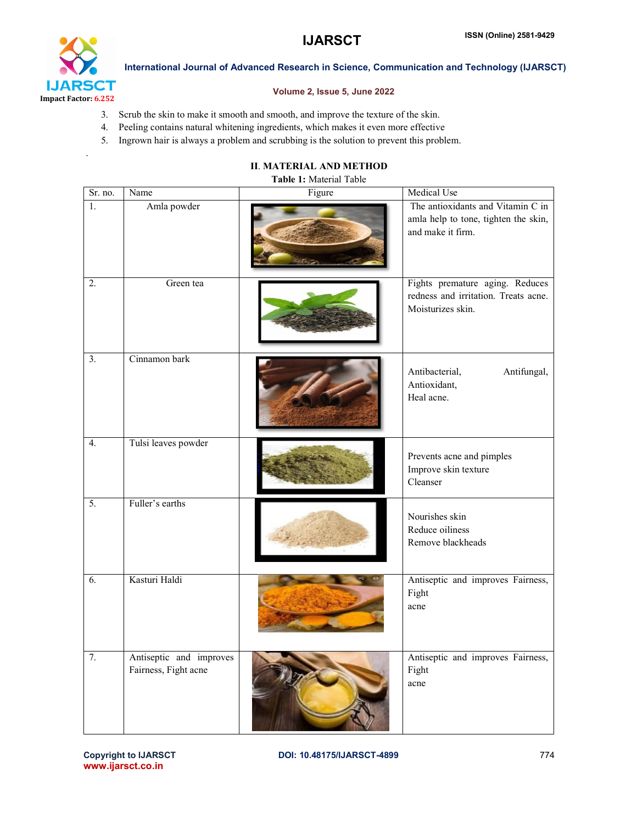



.

International Journal of Advanced Research in Science, Communication and Technology (IJARSCT)

# Volume 2, Issue 5, June 2022

- 3. Scrub the skin to make it smooth and smooth, and improve the texture of the skin.
- 4. Peeling contains natural whitening ingredients, which makes it even more effective
- 5. Ingrown hair is always a problem and scrubbing is the solution to prevent this problem.

# II. MATERIAL AND METHOD

#### Table 1: Material Table

| $\overline{\text{Sr}}$ no. | Name                                            | Figure | Medical Use                                                                                    |
|----------------------------|-------------------------------------------------|--------|------------------------------------------------------------------------------------------------|
| 1.                         | Amla powder                                     |        | The antioxidants and Vitamin C in<br>amla help to tone, tighten the skin,<br>and make it firm. |
| 2.                         | Green tea                                       |        | Fights premature aging. Reduces<br>redness and irritation. Treats acne.<br>Moisturizes skin.   |
| 3.                         | Cinnamon bark                                   |        | Antibacterial,<br>Antifungal,<br>Antioxidant,<br>Heal acne.                                    |
| 4.                         | Tulsi leaves powder                             |        | Prevents acne and pimples<br>Improve skin texture<br>Cleanser                                  |
| 5.                         | Fuller's earths                                 |        | Nourishes skin<br>Reduce oiliness<br>Remove blackheads                                         |
| 6.                         | Kasturi Haldi                                   |        | Antiseptic and improves Fairness,<br>Fight<br>acne                                             |
| 7.                         | Antiseptic and improves<br>Fairness, Fight acne |        | Antiseptic and improves Fairness,<br>Fight<br>acne                                             |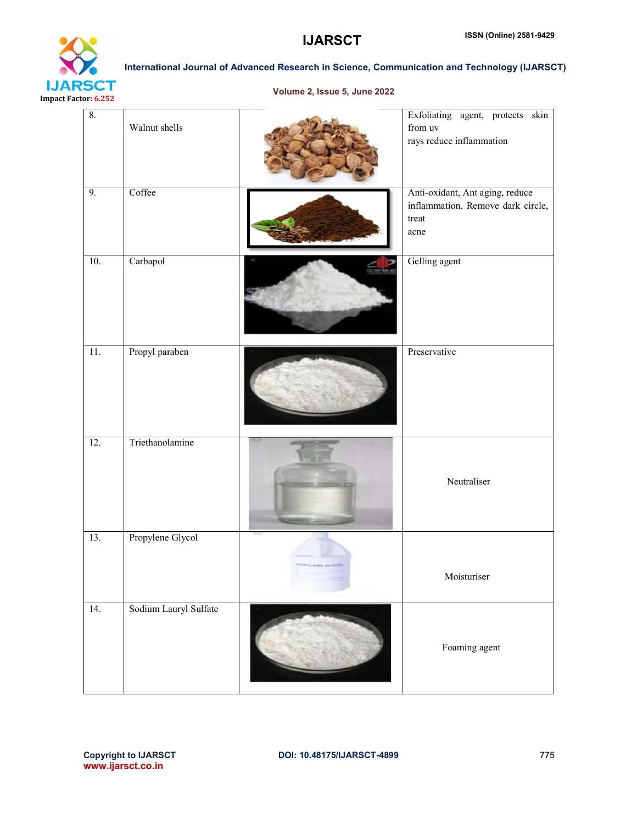

Volume 2, Issue 5, June 2022

| 8.  | Walnut shells         |                           | Exfoliating agent, protects skin<br>${\rm from}$ uv<br>rays reduce inflammation       |
|-----|-----------------------|---------------------------|---------------------------------------------------------------------------------------|
| 9.  | Coffee                |                           | Anti-oxidant, Ant aging, reduce<br>inflammation. Remove dark circle,<br>treat<br>acne |
| 10. | Carbapol              | <b>TUTHU</b>              | Gelling agent                                                                         |
| 11. | Propyl paraben        |                           | Preservative                                                                          |
| 12. | Triethanolamine       |                           | Neutraliser                                                                           |
| 13. | Propylene Glycol      | <b>HIVE RIGHT GENERAL</b> | Moisturiser                                                                           |
| 14. | Sodium Lauryl Sulfate |                           | Foaming agent                                                                         |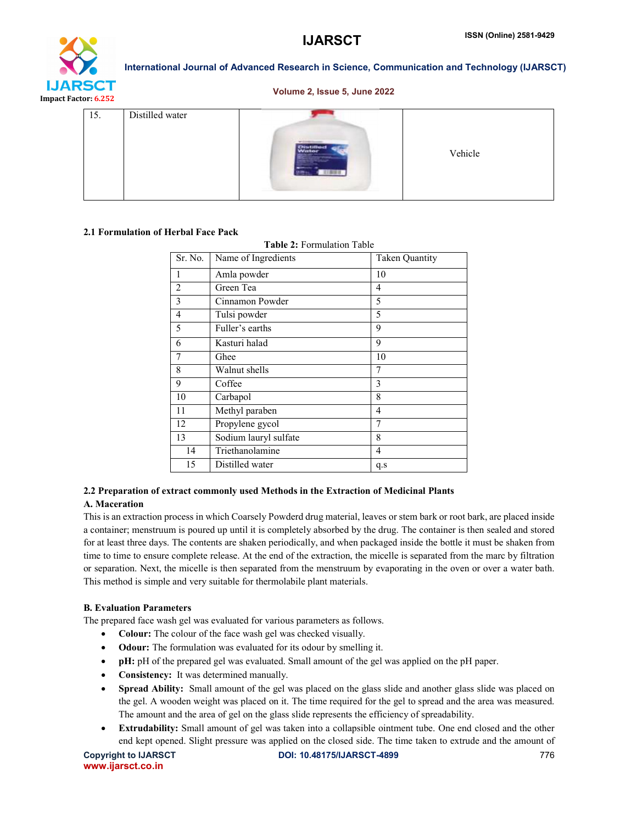

# Volume 2, Issue 5, June 2022

| 15. | Distilled water |  | Vehicle |
|-----|-----------------|--|---------|
|-----|-----------------|--|---------|

# 2.1 Formulation of Herbal Face Pack

Table 2: Formulation Table

| Sr. No.        | Name of Ingredients   | <b>Taken Quantity</b> |
|----------------|-----------------------|-----------------------|
| 1              | Amla powder           | 10                    |
| $\overline{c}$ | Green Tea             | 4                     |
| 3              | Cinnamon Powder       | 5                     |
| $\overline{4}$ | Tulsi powder          | 5                     |
| 5              | Fuller's earths       | 9                     |
| 6              | Kasturi halad         | 9                     |
| 7              | Ghee                  | 10                    |
| 8              | Walnut shells         | 7                     |
| 9              | Coffee                | 3                     |
| 10             | Carbapol              | 8                     |
| 11             | Methyl paraben        | $\overline{4}$        |
| 12             | Propylene gycol       | 7                     |
| 13             | Sodium lauryl sulfate | 8                     |
| 14             | Triethanolamine       | $\overline{4}$        |
| 15             | Distilled water       | q.s                   |

# 2.2 Preparation of extract commonly used Methods in the Extraction of Medicinal Plants

# A. Maceration

This is an extraction process in which Coarsely Powderd drug material, leaves or stem bark or root bark, are placed inside a container; menstruum is poured up until it is completely absorbed by the drug. The container is then sealed and stored for at least three days. The contents are shaken periodically, and when packaged inside the bottle it must be shaken from time to time to ensure complete release. At the end of the extraction, the micelle is separated from the marc by filtration or separation. Next, the micelle is then separated from the menstruum by evaporating in the oven or over a water bath. This method is simple and very suitable for thermolabile plant materials.

# B. Evaluation Parameters

The prepared face wash gel was evaluated for various parameters as follows.

- Colour: The colour of the face wash gel was checked visually.
- Odour: The formulation was evaluated for its odour by smelling it.
- pH: pH of the prepared gel was evaluated. Small amount of the gel was applied on the pH paper.
- Consistency: It was determined manually.
- Spread Ability: Small amount of the gel was placed on the glass slide and another glass slide was placed on the gel. A wooden weight was placed on it. The time required for the gel to spread and the area was measured. The amount and the area of gel on the glass slide represents the efficiency of spreadability.
- Extrudability: Small amount of gel was taken into a collapsible ointment tube. One end closed and the other end kept opened. Slight pressure was applied on the closed side. The time taken to extrude and the amount of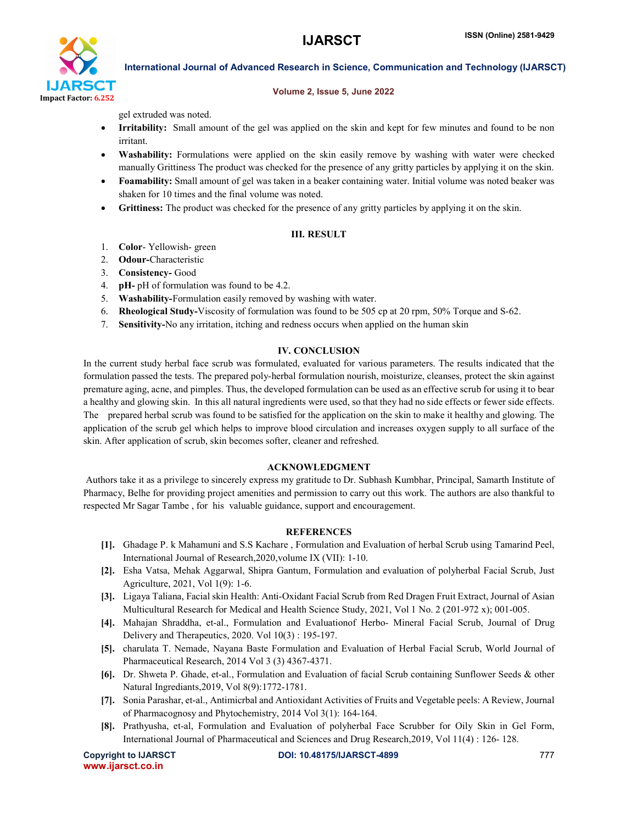

#### Volume 2, Issue 5, June 2022

gel extruded was noted.

- Irritability: Small amount of the gel was applied on the skin and kept for few minutes and found to be non irritant.
- Washability: Formulations were applied on the skin easily remove by washing with water were checked manually Grittiness The product was checked for the presence of any gritty particles by applying it on the skin.
- Foamability: Small amount of gel was taken in a beaker containing water. Initial volume was noted beaker was shaken for 10 times and the final volume was noted.
- Grittiness: The product was checked for the presence of any gritty particles by applying it on the skin.

# III. RESULT

- 1. Color- Yellowish- green
- 2. Odour-Characteristic
- 3. Consistency- Good
- 4. pH- pH of formulation was found to be 4.2.
- 5. Washability-Formulation easily removed by washing with water.
- 6. Rheological Study-Viscosity of formulation was found to be 505 cp at 20 rpm, 50% Torque and S-62.
- 7. Sensitivity-No any irritation, itching and redness occurs when applied on the human skin

# IV. CONCLUSION

In the current study herbal face scrub was formulated, evaluated for various parameters. The results indicated that the formulation passed the tests. The prepared poly-herbal formulation nourish, moisturize, cleanses, protect the skin against premature aging, acne, and pimples. Thus, the developed formulation can be used as an effective scrub for using it to bear a healthy and glowing skin. In this all natural ingredients were used, so that they had no side effects or fewer side effects. The prepared herbal scrub was found to be satisfied for the application on the skin to make it healthy and glowing. The application of the scrub gel which helps to improve blood circulation and increases oxygen supply to all surface of the skin. After application of scrub, skin becomes softer, cleaner and refreshed.

# ACKNOWLEDGMENT

Authors take it as a privilege to sincerely express my gratitude to Dr. Subhash Kumbhar, Principal, Samarth Institute of Pharmacy, Belhe for providing project amenities and permission to carry out this work. The authors are also thankful to respected Mr Sagar Tambe , for his valuable guidance, support and encouragement.

# **REFERENCES**

- [1]. Ghadage P. k Mahamuni and S.S Kachare , Formulation and Evaluation of herbal Scrub using Tamarind Peel, International Journal of Research,2020,volume IX (VII): 1-10.
- [2]. Esha Vatsa, Mehak Aggarwal, Shipra Gantum, Formulation and evaluation of polyherbal Facial Scrub, Just Agriculture, 2021, Vol 1(9): 1-6.
- [3]. Ligaya Taliana, Facial skin Health: Anti-Oxidant Facial Scrub from Red Dragen Fruit Extract, Journal of Asian Multicultural Research for Medical and Health Science Study, 2021, Vol 1 No. 2 (201-972 x); 001-005.
- [4]. Mahajan Shraddha, et-al., Formulation and Evaluationof Herbo- Mineral Facial Scrub, Journal of Drug Delivery and Therapeutics, 2020. Vol 10(3) : 195-197.
- [5]. charulata T. Nemade, Nayana Baste Formulation and Evaluation of Herbal Facial Scrub, World Journal of Pharmaceutical Research, 2014 Vol 3 (3) 4367-4371.
- [6]. Dr. Shweta P. Ghade, et-al., Formulation and Evaluation of facial Scrub containing Sunflower Seeds & other Natural Ingrediants,2019, Vol 8(9):1772-1781.
- [7]. Sonia Parashar, et-al., Antimicrbal and Antioxidant Activities of Fruits and Vegetable peels: A Review, Journal of Pharmacognosy and Phytochemistry, 2014 Vol 3(1): 164-164.
- [8]. Prathyusha, et-al, Formulation and Evaluation of polyherbal Face Scrubber for Oily Skin in Gel Form, International Journal of Pharmaceutical and Sciences and Drug Research,2019, Vol 11(4) : 126- 128.